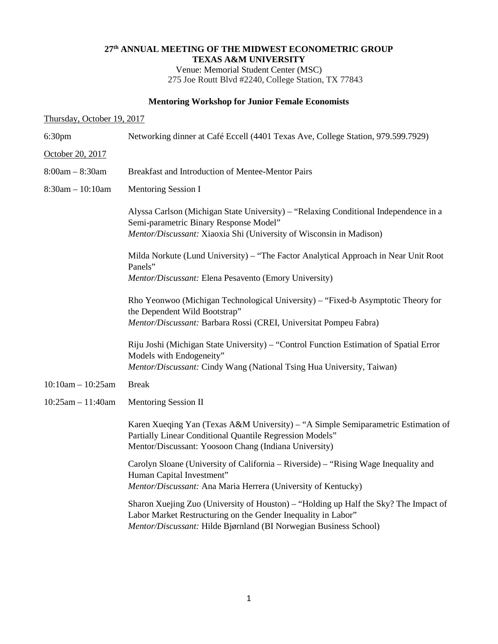## **27th ANNUAL MEETING OF THE MIDWEST ECONOMETRIC GROUP TEXAS A&M UNIVERSITY**

Venue: Memorial Student Center (MSC) 275 Joe Routt Blvd #2240, College Station, TX 77843

## **Mentoring Workshop for Junior Female Economists**

| Thursday, October 19, 2017 |                                                                                                                                                                                                                            |
|----------------------------|----------------------------------------------------------------------------------------------------------------------------------------------------------------------------------------------------------------------------|
| 6:30 <sub>pm</sub>         | Networking dinner at Café Eccell (4401 Texas Ave, College Station, 979.599.7929)                                                                                                                                           |
| October 20, 2017           |                                                                                                                                                                                                                            |
| $8:00am - 8:30am$          | Breakfast and Introduction of Mentee-Mentor Pairs                                                                                                                                                                          |
| $8:30$ am $-10:10$ am      | <b>Mentoring Session I</b>                                                                                                                                                                                                 |
|                            | Alyssa Carlson (Michigan State University) – "Relaxing Conditional Independence in a<br>Semi-parametric Binary Response Model"<br>Mentor/Discussant: Xiaoxia Shi (University of Wisconsin in Madison)                      |
|                            | Milda Norkute (Lund University) – "The Factor Analytical Approach in Near Unit Root<br>Panels"<br>Mentor/Discussant: Elena Pesavento (Emory University)                                                                    |
|                            | Rho Yeonwoo (Michigan Technological University) - "Fixed-b Asymptotic Theory for<br>the Dependent Wild Bootstrap"<br>Mentor/Discussant: Barbara Rossi (CREI, Universitat Pompeu Fabra)                                     |
|                            | Riju Joshi (Michigan State University) - "Control Function Estimation of Spatial Error<br>Models with Endogeneity"<br>Mentor/Discussant: Cindy Wang (National Tsing Hua University, Taiwan)                                |
| $10:10am - 10:25am$        | <b>Break</b>                                                                                                                                                                                                               |
| $10:25am - 11:40am$        | Mentoring Session II                                                                                                                                                                                                       |
|                            | Karen Xueqing Yan (Texas A&M University) – "A Simple Semiparametric Estimation of<br>Partially Linear Conditional Quantile Regression Models"<br>Mentor/Discussant: Yoosoon Chang (Indiana University)                     |
|                            | Carolyn Sloane (University of California – Riverside) – "Rising Wage Inequality and<br>Human Capital Investment"<br>Mentor/Discussant: Ana Maria Herrera (University of Kentucky)                                          |
|                            | Sharon Xuejing Zuo (University of Houston) - "Holding up Half the Sky? The Impact of<br>Labor Market Restructuring on the Gender Inequality in Labor"<br>Mentor/Discussant: Hilde Bjørnland (BI Norwegian Business School) |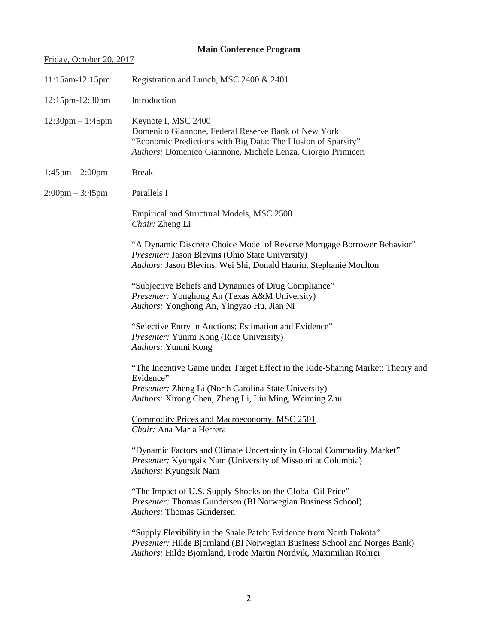## **Main Conference Program**

# Friday, October 20, 2017

| 11:15am-12:15pm                    | Registration and Lunch, MSC 2400 & 2401                                                                                                                                                                               |
|------------------------------------|-----------------------------------------------------------------------------------------------------------------------------------------------------------------------------------------------------------------------|
| 12:15pm-12:30pm                    | Introduction                                                                                                                                                                                                          |
| $12:30 \text{pm} - 1:45 \text{pm}$ | Keynote I, MSC 2400<br>Domenico Giannone, Federal Reserve Bank of New York<br>"Economic Predictions with Big Data: The Illusion of Sparsity"<br>Authors: Domenico Giannone, Michele Lenza, Giorgio Primiceri          |
| $1:45 \text{pm} - 2:00 \text{pm}$  | <b>Break</b>                                                                                                                                                                                                          |
| $2:00 \text{pm} - 3:45 \text{pm}$  | Parallels I                                                                                                                                                                                                           |
|                                    | <b>Empirical and Structural Models, MSC 2500</b><br>Chair: Zheng Li                                                                                                                                                   |
|                                    | "A Dynamic Discrete Choice Model of Reverse Mortgage Borrower Behavior"<br>Presenter: Jason Blevins (Ohio State University)<br>Authors: Jason Blevins, Wei Shi, Donald Haurin, Stephanie Moulton                      |
|                                    | "Subjective Beliefs and Dynamics of Drug Compliance"<br>Presenter: Yonghong An (Texas A&M University)<br>Authors: Yonghong An, Yingyao Hu, Jian Ni                                                                    |
|                                    | "Selective Entry in Auctions: Estimation and Evidence"<br>Presenter: Yunmi Kong (Rice University)<br>Authors: Yunmi Kong                                                                                              |
|                                    | "The Incentive Game under Target Effect in the Ride-Sharing Market: Theory and<br>Evidence"<br>Presenter: Zheng Li (North Carolina State University)<br>Authors: Xirong Chen, Zheng Li, Liu Ming, Weiming Zhu         |
|                                    | Commodity Prices and Macroeconomy, MSC 2501<br>Chair: Ana Maria Herrera                                                                                                                                               |
|                                    | "Dynamic Factors and Climate Uncertainty in Global Commodity Market"<br>Presenter: Kyungsik Nam (University of Missouri at Columbia)<br>Authors: Kyungsik Nam                                                         |
|                                    | "The Impact of U.S. Supply Shocks on the Global Oil Price"<br>Presenter: Thomas Gundersen (BI Norwegian Business School)<br><b>Authors: Thomas Gundersen</b>                                                          |
|                                    | "Supply Flexibility in the Shale Patch: Evidence from North Dakota"<br>Presenter: Hilde Bjornland (BI Norwegian Business School and Norges Bank)<br>Authors: Hilde Bjornland, Frode Martin Nordvik, Maximilian Rohrer |
|                                    |                                                                                                                                                                                                                       |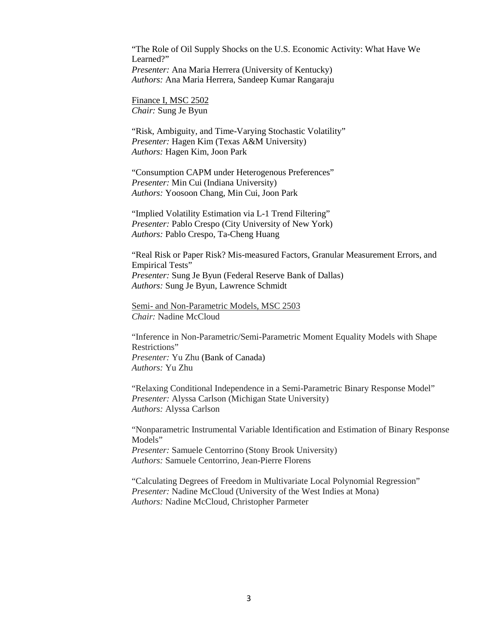"The Role of Oil Supply Shocks on the U.S. Economic Activity: What Have We Learned?" *Presenter:* Ana Maria Herrera (University of Kentucky) *Authors:* Ana Maria Herrera, Sandeep Kumar Rangaraju

Finance I, MSC 2502 *Chair:* Sung Je Byun

"Risk, Ambiguity, and Time-Varying Stochastic Volatility" *Presenter:* Hagen Kim (Texas A&M University) *Authors:* Hagen Kim, Joon Park

"Consumption CAPM under Heterogenous Preferences" *Presenter:* Min Cui (Indiana University) *Authors:* Yoosoon Chang, Min Cui, Joon Park

"Implied Volatility Estimation via L-1 Trend Filtering" *Presenter:* Pablo Crespo (City University of New York) *Authors:* Pablo Crespo, Ta-Cheng Huang

"Real Risk or Paper Risk? Mis-measured Factors, Granular Measurement Errors, and Empirical Tests" *Presenter:* Sung Je Byun (Federal Reserve Bank of Dallas) *Authors:* Sung Je Byun, Lawrence Schmidt

Semi- and Non-Parametric Models, MSC 2503 *Chair:* Nadine McCloud

"Inference in Non-Parametric/Semi-Parametric Moment Equality Models with Shape Restrictions" *Presenter:* Yu Zhu (Bank of Canada) *Authors:* Yu Zhu

"Relaxing Conditional Independence in a Semi-Parametric Binary Response Model" *Presenter:* Alyssa Carlson (Michigan State University) *Authors:* Alyssa Carlson

"Nonparametric Instrumental Variable Identification and Estimation of Binary Response Models"

*Presenter:* Samuele Centorrino (Stony Brook University) *Authors:* Samuele Centorrino, Jean-Pierre Florens

"Calculating Degrees of Freedom in Multivariate Local Polynomial Regression" *Presenter:* Nadine McCloud (University of the West Indies at Mona) *Authors:* Nadine McCloud, Christopher Parmeter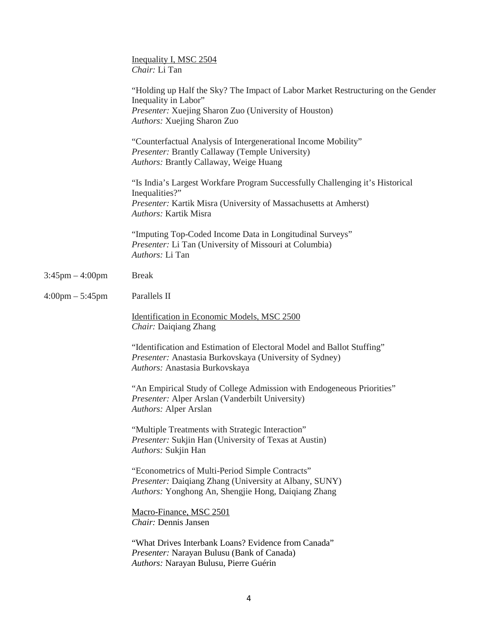|                                   | Inequality I, MSC 2504<br>Chair: Li Tan                                                                                                                                                             |
|-----------------------------------|-----------------------------------------------------------------------------------------------------------------------------------------------------------------------------------------------------|
|                                   | "Holding up Half the Sky? The Impact of Labor Market Restructuring on the Gender<br>Inequality in Labor"<br>Presenter: Xuejing Sharon Zuo (University of Houston)<br>Authors: Xuejing Sharon Zuo    |
|                                   | "Counterfactual Analysis of Intergenerational Income Mobility"<br>Presenter: Brantly Callaway (Temple University)<br>Authors: Brantly Callaway, Weige Huang                                         |
|                                   | "Is India's Largest Workfare Program Successfully Challenging it's Historical<br>Inequalities?"<br>Presenter: Kartik Misra (University of Massachusetts at Amherst)<br><b>Authors: Kartik Misra</b> |
|                                   | "Imputing Top-Coded Income Data in Longitudinal Surveys"<br>Presenter: Li Tan (University of Missouri at Columbia)<br>Authors: Li Tan                                                               |
| $3:45$ pm $-4:00$ pm              | <b>Break</b>                                                                                                                                                                                        |
| $4:00 \text{pm} - 5:45 \text{pm}$ | Parallels II                                                                                                                                                                                        |
|                                   | Identification in Economic Models, MSC 2500<br>Chair: Daiqiang Zhang                                                                                                                                |
|                                   | "Identification and Estimation of Electoral Model and Ballot Stuffing"<br>Presenter: Anastasia Burkovskaya (University of Sydney)<br>Authors: Anastasia Burkovskaya                                 |
|                                   | "An Empirical Study of College Admission with Endogeneous Priorities"<br>Presenter: Alper Arslan (Vanderbilt University)<br>Authors: Alper Arslan                                                   |
|                                   | "Multiple Treatments with Strategic Interaction"<br>Presenter: Sukjin Han (University of Texas at Austin)<br>Authors: Sukjin Han                                                                    |
|                                   | "Econometrics of Multi-Period Simple Contracts"<br>Presenter: Daiqiang Zhang (University at Albany, SUNY)<br>Authors: Yonghong An, Shengjie Hong, Daiqiang Zhang                                    |
|                                   | Macro-Finance, MSC 2501<br>Chair: Dennis Jansen                                                                                                                                                     |
|                                   | "What Drives Interbank Loans? Evidence from Canada"<br>Presenter: Narayan Bulusu (Bank of Canada)<br>Authors: Narayan Bulusu, Pierre Guérin                                                         |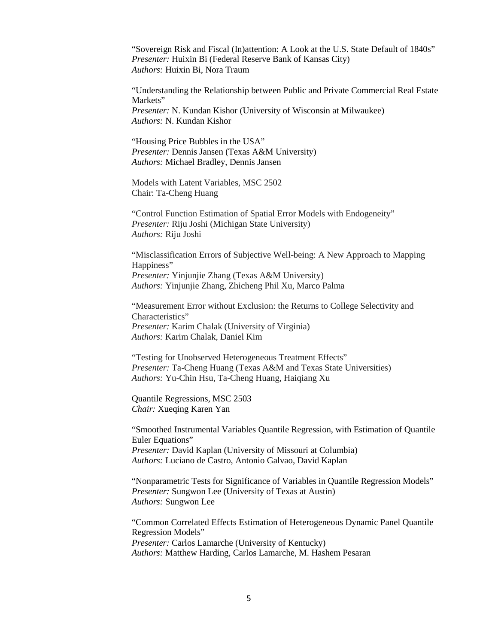"Sovereign Risk and Fiscal (In)attention: A Look at the U.S. State Default of 1840s" *Presenter:* Huixin Bi (Federal Reserve Bank of Kansas City) *Authors:* Huixin Bi, Nora Traum

"Understanding the Relationship between Public and Private Commercial Real Estate Markets" *Presenter:* N. Kundan Kishor (University of Wisconsin at Milwaukee) *Authors:* N. Kundan Kishor

"Housing Price Bubbles in the USA" *Presenter:* Dennis Jansen (Texas A&M University) *Authors:* Michael Bradley, Dennis Jansen

Models with Latent Variables, MSC 2502 Chair: Ta-Cheng Huang

"Control Function Estimation of Spatial Error Models with Endogeneity" *Presenter:* Riju Joshi (Michigan State University) *Authors:* Riju Joshi

"Misclassification Errors of Subjective Well-being: A New Approach to Mapping Happiness" *Presenter:* Yinjunjie Zhang (Texas A&M University) *Authors:* Yinjunjie Zhang, Zhicheng Phil Xu, Marco Palma

"Measurement Error without Exclusion: the Returns to College Selectivity and Characteristics" *Presenter:* Karim Chalak (University of Virginia) *Authors:* Karim Chalak, Daniel Kim

"Testing for Unobserved Heterogeneous Treatment Effects" *Presenter:* Ta-Cheng Huang (Texas A&M and Texas State Universities) *Authors:* Yu-Chin Hsu, Ta-Cheng Huang, Haiqiang Xu

Quantile Regressions, MSC 2503 *Chair:* Xueqing Karen Yan

"Smoothed Instrumental Variables Quantile Regression, with Estimation of Quantile Euler Equations" *Presenter:* David Kaplan (University of Missouri at Columbia) *Authors:* Luciano de Castro, Antonio Galvao, David Kaplan

"Nonparametric Tests for Significance of Variables in Quantile Regression Models" *Presenter:* Sungwon Lee (University of Texas at Austin) *Authors:* Sungwon Lee

"Common Correlated Effects Estimation of Heterogeneous Dynamic Panel Quantile Regression Models" *Presenter:* Carlos Lamarche (University of Kentucky) *Authors:* Matthew Harding, Carlos Lamarche, M. Hashem Pesaran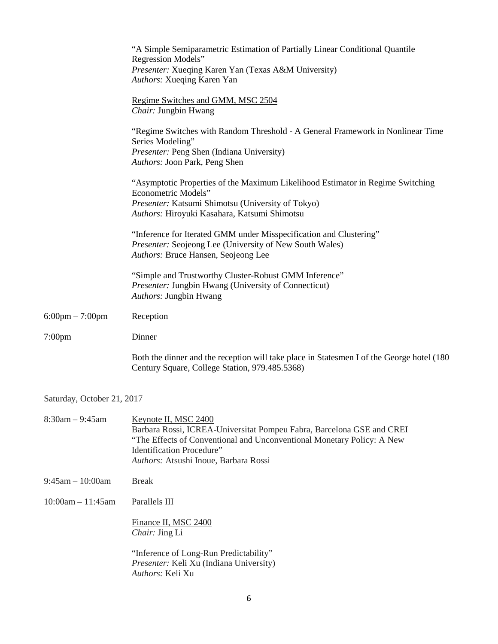|                                   | "A Simple Semiparametric Estimation of Partially Linear Conditional Quantile<br>Regression Models"<br>Presenter: Xueqing Karen Yan (Texas A&M University)<br>Authors: Xueqing Karen Yan                    |
|-----------------------------------|------------------------------------------------------------------------------------------------------------------------------------------------------------------------------------------------------------|
|                                   | Regime Switches and GMM, MSC 2504<br>Chair: Jungbin Hwang                                                                                                                                                  |
|                                   | "Regime Switches with Random Threshold - A General Framework in Nonlinear Time<br>Series Modeling"<br>Presenter: Peng Shen (Indiana University)<br>Authors: Joon Park, Peng Shen                           |
|                                   | "Asymptotic Properties of the Maximum Likelihood Estimator in Regime Switching<br>Econometric Models"<br>Presenter: Katsumi Shimotsu (University of Tokyo)<br>Authors: Hiroyuki Kasahara, Katsumi Shimotsu |
|                                   | "Inference for Iterated GMM under Misspecification and Clustering"<br>Presenter: Seojeong Lee (University of New South Wales)<br>Authors: Bruce Hansen, Seojeong Lee                                       |
|                                   | "Simple and Trustworthy Cluster-Robust GMM Inference"<br>Presenter: Jungbin Hwang (University of Connecticut)<br>Authors: Jungbin Hwang                                                                    |
| $6:00 \text{pm} - 7:00 \text{pm}$ | Reception                                                                                                                                                                                                  |
| 7:00 <sub>pm</sub>                | Dinner                                                                                                                                                                                                     |
|                                   | Both the dinner and the reception will take place in Statesmen I of the George hotel (180)<br>Century Square, College Station, 979.485.5368)                                                               |

# Saturday, October 21, 2017

| $8:30$ am – 9:45am     | Keynote II, MSC 2400<br>Barbara Rossi, ICREA-Universitat Pompeu Fabra, Barcelona GSE and CREI<br>"The Effects of Conventional and Unconventional Monetary Policy: A New<br>Identification Procedure"<br><i>Authors:</i> Atsushi Inoue, Barbara Rossi |
|------------------------|------------------------------------------------------------------------------------------------------------------------------------------------------------------------------------------------------------------------------------------------------|
| $9:45$ am $-10:00$ am  | <b>Break</b>                                                                                                                                                                                                                                         |
| $10:00$ am $-11:45$ am | Parallels III                                                                                                                                                                                                                                        |
|                        | Finance II, MSC 2400<br><i>Chair: Jing Li</i>                                                                                                                                                                                                        |
|                        | "Inference of Long-Run Predictability"<br>Presenter: Keli Xu (Indiana University)<br><i>Authors:</i> Keli Xu                                                                                                                                         |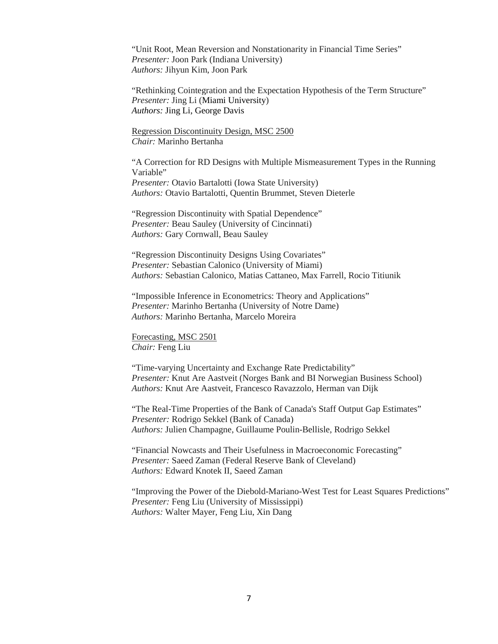"Unit Root, Mean Reversion and Nonstationarity in Financial Time Series" *Presenter:* Joon Park (Indiana University) *Authors:* Jihyun Kim, Joon Park

"Rethinking Cointegration and the Expectation Hypothesis of the Term Structure" *Presenter:* Jing Li (Miami University) *Authors:* Jing Li, George Davis

Regression Discontinuity Design, MSC 2500 *Chair:* Marinho Bertanha

"A Correction for RD Designs with Multiple Mismeasurement Types in the Running Variable" *Presenter:* Otavio Bartalotti (Iowa State University) *Authors:* Otavio Bartalotti, Quentin Brummet, Steven Dieterle

"Regression Discontinuity with Spatial Dependence" *Presenter:* Beau Sauley (University of Cincinnati) *Authors:* Gary Cornwall, Beau Sauley

"Regression Discontinuity Designs Using Covariates" *Presenter:* Sebastian Calonico (University of Miami) *Authors:* Sebastian Calonico, Matias Cattaneo, Max Farrell, Rocio Titiunik

"Impossible Inference in Econometrics: Theory and Applications" *Presenter:* Marinho Bertanha (University of Notre Dame) *Authors:* Marinho Bertanha*,* Marcelo Moreira

Forecasting, MSC 2501 *Chair:* Feng Liu

"Time-varying Uncertainty and Exchange Rate Predictability" *Presenter:* Knut Are Aastveit (Norges Bank and BI Norwegian Business School) *Authors:* Knut Are Aastveit, Francesco Ravazzolo, Herman van Dijk

"The Real-Time Properties of the Bank of Canada's Staff Output Gap Estimates" *Presenter:* Rodrigo Sekkel (Bank of Canada) *Authors:* Julien Champagne, Guillaume Poulin-Bellisle, Rodrigo Sekkel

"Financial Nowcasts and Their Usefulness in Macroeconomic Forecasting" *Presenter:* Saeed Zaman (Federal Reserve Bank of Cleveland) *Authors:* Edward Knotek II, Saeed Zaman

"Improving the Power of the Diebold-Mariano-West Test for Least Squares Predictions" *Presenter:* Feng Liu (University of Mississippi) *Authors:* Walter Mayer, Feng Liu, Xin Dang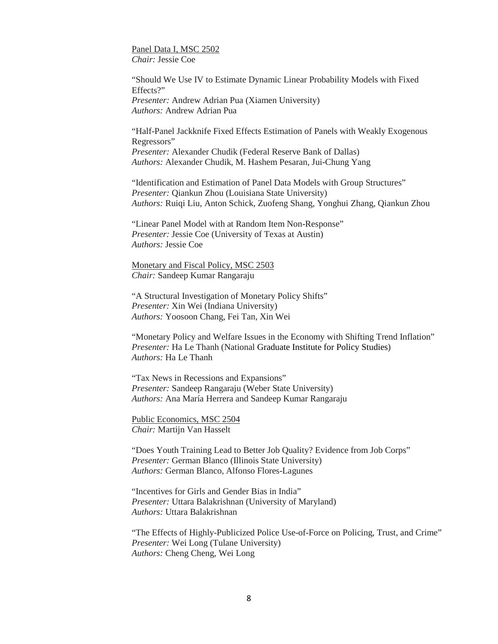Panel Data I, MSC 2502 *Chair:* Jessie Coe

"Should We Use IV to Estimate Dynamic Linear Probability Models with Fixed Effects?" *Presenter:* Andrew Adrian Pua (Xiamen University) *Authors:* Andrew Adrian Pua

"Half-Panel Jackknife Fixed Effects Estimation of Panels with Weakly Exogenous Regressors" *Presenter:* Alexander Chudik (Federal Reserve Bank of Dallas) *Authors:* Alexander Chudik, M. Hashem Pesaran, Jui-Chung Yang

"Identification and Estimation of Panel Data Models with Group Structures" *Presenter:* Qiankun Zhou (Louisiana State University) *Authors:* Ruiqi Liu, Anton Schick, Zuofeng Shang, Yonghui Zhang, Qiankun Zhou

"Linear Panel Model with at Random Item Non-Response" *Presenter:* Jessie Coe (University of Texas at Austin) *Authors:* Jessie Coe

Monetary and Fiscal Policy, MSC 2503 *Chair:* Sandeep Kumar Rangaraju

"A Structural Investigation of Monetary Policy Shifts" *Presenter:* Xin Wei (Indiana University) *Authors:* Yoosoon Chang, Fei Tan, Xin Wei

"Monetary Policy and Welfare Issues in the Economy with Shifting Trend Inflation" *Presenter:* Ha Le Thanh (National Graduate Institute for Policy Studies) *Authors:* Ha Le Thanh

"Tax News in Recessions and Expansions" *Presenter:* Sandeep Rangaraju (Weber State University) *Authors:* Ana María Herrera and Sandeep Kumar Rangaraju

Public Economics, MSC 2504 *Chair:* Martijn Van Hasselt

"Does Youth Training Lead to Better Job Quality? Evidence from Job Corps" *Presenter:* German Blanco (Illinois State University) *Authors:* German Blanco*,* Alfonso Flores-Lagunes

"Incentives for Girls and Gender Bias in India" *Presenter:* Uttara Balakrishnan (University of Maryland) *Authors:* Uttara Balakrishnan

"The Effects of Highly-Publicized Police Use-of-Force on Policing, Trust, and Crime" *Presenter:* Wei Long (Tulane University) *Authors:* Cheng Cheng, Wei Long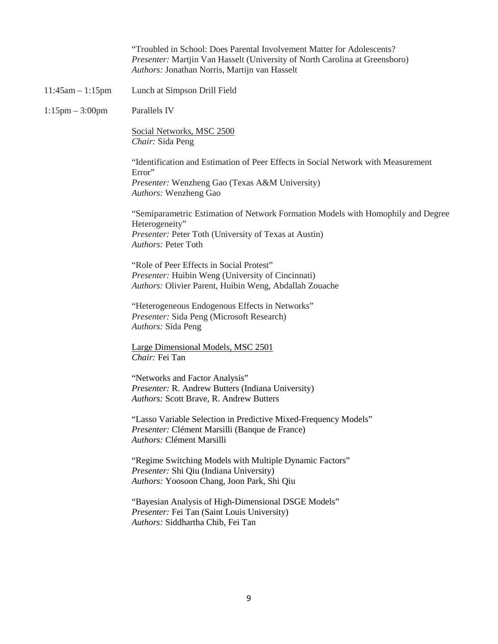|                      | "Troubled in School: Does Parental Involvement Matter for Adolescents?"<br>Presenter: Martjin Van Hasselt (University of North Carolina at Greensboro)<br>Authors: Jonathan Norris, Martijn van Hasselt |
|----------------------|---------------------------------------------------------------------------------------------------------------------------------------------------------------------------------------------------------|
| $11:45am - 1:15pm$   | Lunch at Simpson Drill Field                                                                                                                                                                            |
| $1:15$ pm $-3:00$ pm | Parallels IV                                                                                                                                                                                            |
|                      | Social Networks, MSC 2500<br>Chair: Sida Peng                                                                                                                                                           |
|                      | "Identification and Estimation of Peer Effects in Social Network with Measurement<br>Error"<br>Presenter: Wenzheng Gao (Texas A&M University)<br>Authors: Wenzheng Gao                                  |
|                      | "Semiparametric Estimation of Network Formation Models with Homophily and Degree<br>Heterogeneity"<br>Presenter: Peter Toth (University of Texas at Austin)<br>Authors: Peter Toth                      |
|                      | "Role of Peer Effects in Social Protest"<br>Presenter: Huibin Weng (University of Cincinnati)<br>Authors: Olivier Parent, Huibin Weng, Abdallah Zouache                                                 |
|                      | "Heterogeneous Endogenous Effects in Networks"<br>Presenter: Sida Peng (Microsoft Research)<br>Authors: Sida Peng                                                                                       |
|                      | Large Dimensional Models, MSC 2501<br>Chair: Fei Tan                                                                                                                                                    |
|                      | "Networks and Factor Analysis"<br>Presenter: R. Andrew Butters (Indiana University)<br>Authors: Scott Brave, R. Andrew Butters                                                                          |
|                      | "Lasso Variable Selection in Predictive Mixed-Frequency Models"<br>Presenter: Clément Marsilli (Banque de France)<br>Authors: Clément Marsilli                                                          |
|                      | "Regime Switching Models with Multiple Dynamic Factors"<br>Presenter: Shi Qiu (Indiana University)<br>Authors: Yoosoon Chang, Joon Park, Shi Qiu                                                        |
|                      | "Bayesian Analysis of High-Dimensional DSGE Models"<br>Presenter: Fei Tan (Saint Louis University)<br>Authors: Siddhartha Chib, Fei Tan                                                                 |
|                      |                                                                                                                                                                                                         |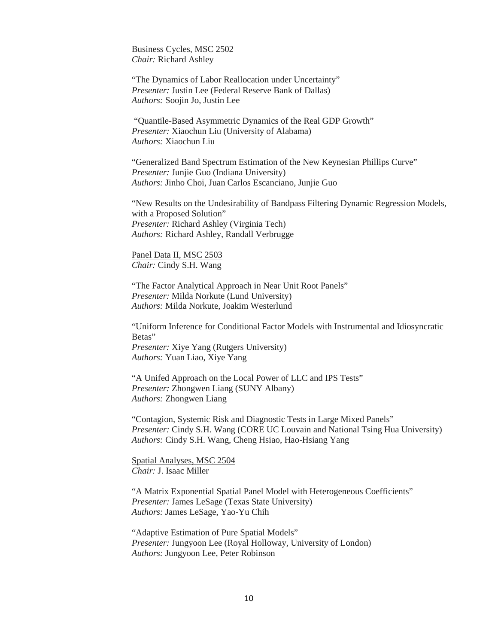Business Cycles, MSC 2502 *Chair:* Richard Ashley

"The Dynamics of Labor Reallocation under Uncertainty" *Presenter:* Justin Lee (Federal Reserve Bank of Dallas) *Authors:* Soojin Jo, Justin Lee

"Quantile-Based Asymmetric Dynamics of the Real GDP Growth" *Presenter:* Xiaochun Liu (University of Alabama) *Authors:* Xiaochun Liu

"Generalized Band Spectrum Estimation of the New Keynesian Phillips Curve" *Presenter:* Junjie Guo (Indiana University) *Authors:* Jinho Choi, Juan Carlos Escanciano, Junjie Guo

"New Results on the Undesirability of Bandpass Filtering Dynamic Regression Models, with a Proposed Solution" *Presenter:* Richard Ashley (Virginia Tech) *Authors:* Richard Ashley, Randall Verbrugge

Panel Data II, MSC 2503 *Chair:* Cindy S.H. Wang

"The Factor Analytical Approach in Near Unit Root Panels" *Presenter:* Milda Norkute (Lund University) *Authors:* Milda Norkute, Joakim Westerlund

"Uniform Inference for Conditional Factor Models with Instrumental and Idiosyncratic Betas" *Presenter:* Xiye Yang (Rutgers University) *Authors:* Yuan Liao, Xiye Yang

"A Unifed Approach on the Local Power of LLC and IPS Tests" *Presenter:* Zhongwen Liang (SUNY Albany) *Authors:* Zhongwen Liang

"Contagion, Systemic Risk and Diagnostic Tests in Large Mixed Panels" *Presenter:* Cindy S.H. Wang (CORE UC Louvain and National Tsing Hua University) *Authors:* Cindy S.H. Wang, Cheng Hsiao, Hao-Hsiang Yang

Spatial Analyses, MSC 2504 *Chair:* J. Isaac Miller

"A Matrix Exponential Spatial Panel Model with Heterogeneous Coefficients" *Presenter:* James LeSage (Texas State University) *Authors:* James LeSage, Yao-Yu Chih

"Adaptive Estimation of Pure Spatial Models" *Presenter:* Jungyoon Lee (Royal Holloway, University of London) *Authors:* Jungyoon Lee, Peter Robinson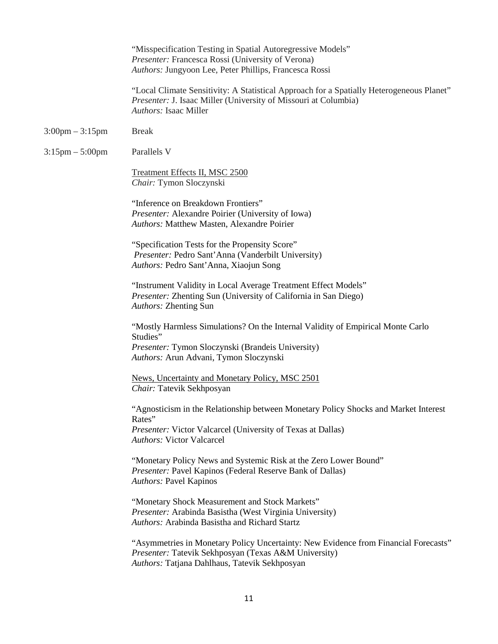|                                   | "Misspecification Testing in Spatial Autoregressive Models"<br>Presenter: Francesca Rossi (University of Verona)<br>Authors: Jungyoon Lee, Peter Phillips, Francesca Rossi                   |
|-----------------------------------|----------------------------------------------------------------------------------------------------------------------------------------------------------------------------------------------|
|                                   | "Local Climate Sensitivity: A Statistical Approach for a Spatially Heterogeneous Planet"<br>Presenter: J. Isaac Miller (University of Missouri at Columbia)<br><b>Authors: Isaac Miller</b>  |
| $3:00 \text{pm} - 3:15 \text{pm}$ | <b>Break</b>                                                                                                                                                                                 |
| $3:15 \text{pm} - 5:00 \text{pm}$ | Parallels V                                                                                                                                                                                  |
|                                   | Treatment Effects II, MSC 2500<br>Chair: Tymon Sloczynski                                                                                                                                    |
|                                   | "Inference on Breakdown Frontiers"<br>Presenter: Alexandre Poirier (University of Iowa)<br>Authors: Matthew Masten, Alexandre Poirier                                                        |
|                                   | "Specification Tests for the Propensity Score"<br>Presenter: Pedro Sant'Anna (Vanderbilt University)<br>Authors: Pedro Sant'Anna, Xiaojun Song                                               |
|                                   | "Instrument Validity in Local Average Treatment Effect Models"<br>Presenter: Zhenting Sun (University of California in San Diego)<br>Authors: Zhenting Sun                                   |
|                                   | "Mostly Harmless Simulations? On the Internal Validity of Empirical Monte Carlo<br>Studies"<br>Presenter: Tymon Sloczynski (Brandeis University)                                             |
|                                   | Authors: Arun Advani, Tymon Sloczynski                                                                                                                                                       |
|                                   | News, Uncertainty and Monetary Policy, MSC 2501<br>Chair: Tatevik Sekhposyan                                                                                                                 |
|                                   | "Agnosticism in the Relationship between Monetary Policy Shocks and Market Interest<br>Rates"                                                                                                |
|                                   | Presenter: Victor Valcarcel (University of Texas at Dallas)<br><b>Authors: Victor Valcarcel</b>                                                                                              |
|                                   | "Monetary Policy News and Systemic Risk at the Zero Lower Bound"<br>Presenter: Pavel Kapinos (Federal Reserve Bank of Dallas)<br><b>Authors: Pavel Kapinos</b>                               |
|                                   | "Monetary Shock Measurement and Stock Markets"<br>Presenter: Arabinda Basistha (West Virginia University)<br>Authors: Arabinda Basistha and Richard Startz                                   |
|                                   | "Asymmetries in Monetary Policy Uncertainty: New Evidence from Financial Forecasts"<br>Presenter: Tatevik Sekhposyan (Texas A&M University)<br>Authors: Tatjana Dahlhaus, Tatevik Sekhposyan |
|                                   |                                                                                                                                                                                              |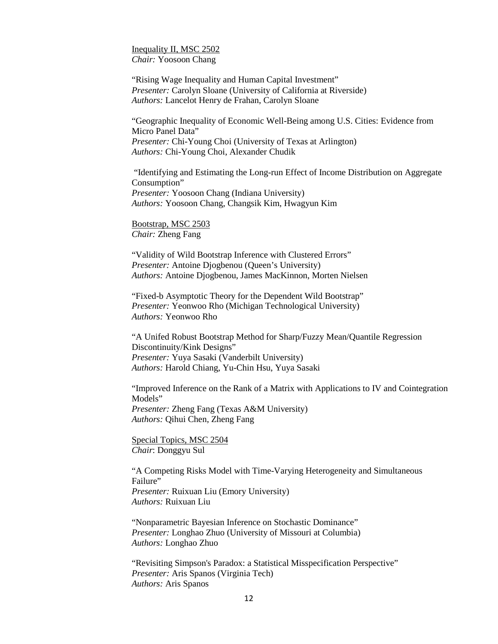Inequality II, MSC 2502 *Chair:* Yoosoon Chang

"Rising Wage Inequality and Human Capital Investment" *Presenter:* Carolyn Sloane (University of California at Riverside) *Authors:* Lancelot Henry de Frahan, Carolyn Sloane

"Geographic Inequality of Economic Well-Being among U.S. Cities: Evidence from Micro Panel Data" *Presenter:* Chi-Young Choi (University of Texas at Arlington) *Authors:* Chi-Young Choi, Alexander Chudik

"Identifying and Estimating the Long-run Effect of Income Distribution on Aggregate Consumption" *Presenter:* Yoosoon Chang (Indiana University) *Authors:* Yoosoon Chang, Changsik Kim, Hwagyun Kim

Bootstrap, MSC 2503 *Chair:* Zheng Fang

"Validity of Wild Bootstrap Inference with Clustered Errors" *Presenter:* Antoine Djogbenou (Queen's University) *Authors:* Antoine Djogbenou, James MacKinnon, Morten Nielsen

"Fixed-b Asymptotic Theory for the Dependent Wild Bootstrap" *Presenter:* Yeonwoo Rho (Michigan Technological University) *Authors:* Yeonwoo Rho

"A Unifed Robust Bootstrap Method for Sharp/Fuzzy Mean/Quantile Regression Discontinuity/Kink Designs" *Presenter:* Yuya Sasaki (Vanderbilt University) *Authors:* Harold Chiang, Yu-Chin Hsu, Yuya Sasaki

"Improved Inference on the Rank of a Matrix with Applications to IV and Cointegration Models" *Presenter:* Zheng Fang (Texas A&M University) *Authors:* Qihui Chen, Zheng Fang

Special Topics, MSC 2504 *Chair*: Donggyu Sul

"A Competing Risks Model with Time-Varying Heterogeneity and Simultaneous Failure" *Presenter:* Ruixuan Liu (Emory University) *Authors:* Ruixuan Liu

"Nonparametric Bayesian Inference on Stochastic Dominance" *Presenter:* Longhao Zhuo (University of Missouri at Columbia) *Authors:* Longhao Zhuo

"Revisiting Simpson's Paradox: a Statistical Misspecification Perspective" *Presenter:* Aris Spanos (Virginia Tech) *Authors:* Aris Spanos